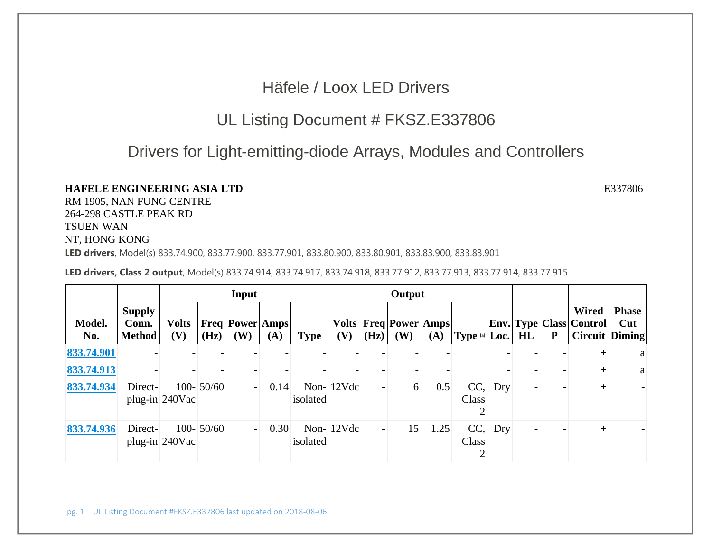## Häfele / Loox LED Drivers

## UL Listing Document # FKSZ.E337806

## Drivers for Light-emitting-diode Arrays, Modules and Controllers

## **HAFELE ENGINEERING ASIA LTD**

 $\mathbf{D}$  E337806

RM 1905, NAN FUNG CENTRE 264-298 CASTLE PEAK RD TSUEN WAN NT, HONG KONG

**LED drivers**, Model(s) 833.74.900, 833.77.900, 833.77.901, 833.80.900, 833.80.901, 833.83.900, 833.83.901

**LED drivers, Class 2 output**, Model(s) 833.74.914, 833.74.917, 833.74.918, 833.77.912, 833.77.913, 833.77.914, 833.77.915

|               |                                         |                     |               | Input                               |      |             | Output       |                   |                                             |      |                               |           |    |              |                                                    |                                       |
|---------------|-----------------------------------------|---------------------|---------------|-------------------------------------|------|-------------|--------------|-------------------|---------------------------------------------|------|-------------------------------|-----------|----|--------------|----------------------------------------------------|---------------------------------------|
| Model.<br>No. | <b>Supply</b><br>Conn.<br><b>Method</b> | <b>Volts</b><br>(V) | (Hz)          | <b>Freq   Power   Amps  </b><br>(W) | (A)  | <b>Type</b> | (V)          | $ (\mathbf{Hz}) $ | <b>Volts   Freq   Power   Amps  </b><br>(W) | (A)  | <b>Type [a]</b> $\text{Loc.}$ |           | HL | $\mathbf{P}$ | <b>Wired</b><br><b>Env.</b> Type   Class   Control | <b>Phase</b><br>Cut<br>Circuit Diming |
| 833.74.901    |                                         |                     |               |                                     |      |             |              |                   |                                             |      |                               |           |    |              |                                                    | a                                     |
| 833.74.913    |                                         |                     |               |                                     |      |             |              |                   |                                             |      |                               |           |    |              |                                                    | a                                     |
| 833.74.934    | Direct-                                 | plug-in 240Vac      | $100 - 50/60$ | $\overline{a}$                      | 0.14 | isolated    | Non- $12Vdc$ |                   | 6                                           | 0.5  | Class                         | $CC,$ Dry |    |              |                                                    |                                       |
| 833.74.936    | Direct-                                 | plug-in 240Vac      | $100 - 50/60$ | $\overline{\phantom{a}}$            | 0.30 | isolated    | Non- $12Vdc$ |                   | 15                                          | 1.25 | Class                         | $CC,$ Dry |    |              |                                                    |                                       |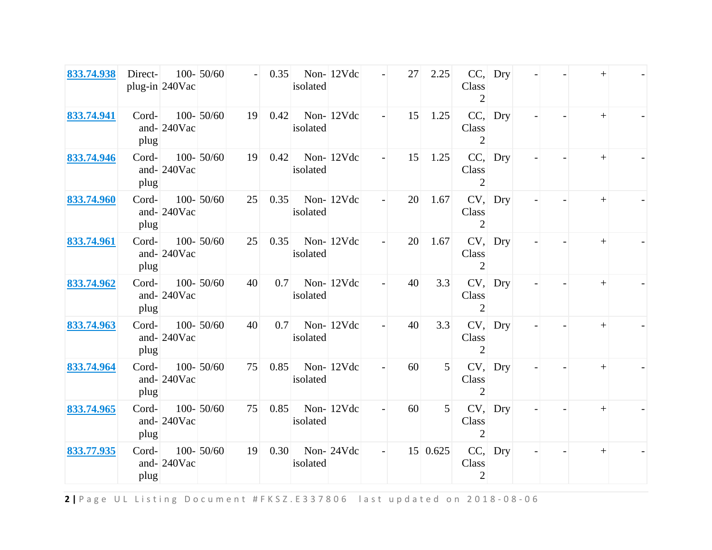| 833.74.938 | Direct-       | plug-in 240Vac | $100 - 50/60$ |    | 0.35 | isolated | Non-12Vdc |                          | 27 | 2.25            | Class<br>$\overline{2}$        | $CC,$ Dry |  |        |  |
|------------|---------------|----------------|---------------|----|------|----------|-----------|--------------------------|----|-----------------|--------------------------------|-----------|--|--------|--|
| 833.74.941 | Cord-<br>plug | and- $240$ Vac | $100 - 50/60$ | 19 | 0.42 | isolated | Non-12Vdc |                          | 15 | 1.25            | CC,<br>Class<br>2              | Dry       |  | $^{+}$ |  |
| 833.74.946 | Cord-<br>plug | and- $240$ Vac | $100 - 50/60$ | 19 | 0.42 | isolated | Non-12Vdc | $\overline{\phantom{a}}$ | 15 | 1.25            | CC,<br>Class<br>$\overline{2}$ | Dry       |  | $^{+}$ |  |
| 833.74.960 | Cord-<br>plug | and-240Vac     | $100 - 50/60$ | 25 | 0.35 | isolated | Non-12Vdc |                          | 20 | 1.67            | Class<br>$\overline{2}$        | $CV,$ Dry |  | $+$    |  |
| 833.74.961 | Cord-<br>plug | and- $240$ Vac | $100 - 50/60$ | 25 | 0.35 | isolated | Non-12Vdc |                          | 20 | 1.67            | Class<br>$\overline{2}$        | CV, Drv   |  | $+$    |  |
| 833.74.962 | Cord-<br>plug | and- $240$ Vac | $100 - 50/60$ | 40 | 0.7  | isolated | Non-12Vdc |                          | 40 | 3.3             | CV,<br>Class<br>$\mathfrak{D}$ | Dry       |  | $+$    |  |
| 833.74.963 | Cord-<br>plug | and-240Vac     | $100 - 50/60$ | 40 | 0.7  | isolated | Non-12Vdc |                          | 40 | 3.3             | Class<br>$\overline{2}$        | CV, Dry   |  | $^{+}$ |  |
| 833.74.964 | Cord-<br>plug | and- $240$ Vac | $100 - 50/60$ | 75 | 0.85 | isolated | Non-12Vdc |                          | 60 | 5               | Class<br>$\overline{2}$        | $CV,$ Dry |  | $^{+}$ |  |
| 833.74.965 | Cord-<br>plug | and- $240$ Vac | $100 - 50/60$ | 75 | 0.85 | isolated | Non-12Vdc |                          | 60 | 5               | Class<br>$\overline{2}$        | $CV,$ Dry |  | $^{+}$ |  |
| 833.77.935 | Cord-<br>plug | and-240Vac     | $100 - 50/60$ | 19 | 0.30 | isolated | Non-24Vdc | $\overline{\phantom{a}}$ |    | $15 \mid 0.625$ | CC,<br>Class<br>2              | Dry       |  | $^{+}$ |  |

**2 |** Page U L Listing Document #FKSZ.E337806 last updated <sup>o</sup> <sup>n</sup> 2018 ‐ 0 8 ‐ 0 6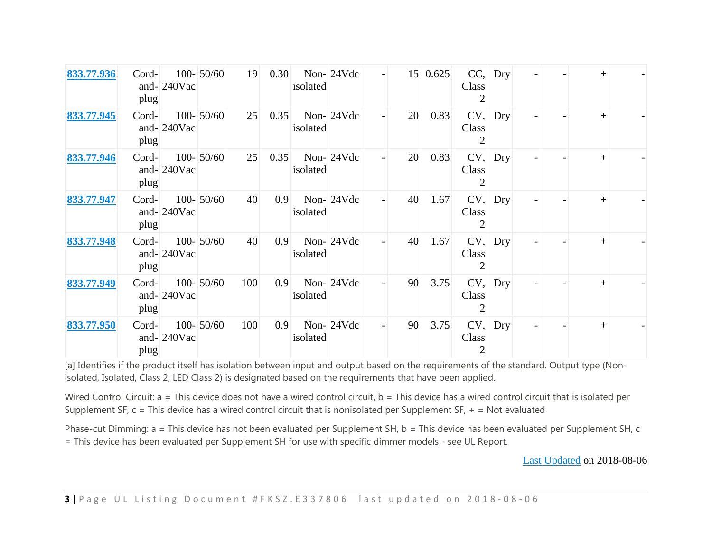| 833.77.936 | Cord-<br>plug | and- $240$ Vac | $100 - 50/60$ | 19  | 0.30 | isolated | Non-24Vdc | $\overline{\phantom{a}}$ | 15 | 0.625 | Class      | $CC,$ Dry |  | $\, + \,$ |  |
|------------|---------------|----------------|---------------|-----|------|----------|-----------|--------------------------|----|-------|------------|-----------|--|-----------|--|
| 833.77.945 | Cord-<br>plug | and- $240$ Vac | $100 - 50/60$ | 25  | 0.35 | isolated | Non-24Vdc |                          | 20 | 0.83  | Class      | CV, Dry   |  |           |  |
| 833.77.946 | Cord-<br>plug | and- $240$ Vac | $100 - 50/60$ | 25  | 0.35 | isolated | Non-24Vdc |                          | 20 | 0.83  | Class<br>2 | $CV,$ Dry |  |           |  |
| 833.77.947 | Cord-<br>plug | and- $240$ Vac | $100 - 50/60$ | 40  | 0.9  | isolated | Non-24Vdc |                          | 40 | 1.67  | Class      | $CV,$ Dry |  | $^{+}$    |  |
| 833.77.948 | Cord-<br>plug | and- $240$ Vac | $100 - 50/60$ | 40  | 0.9  | isolated | Non-24Vdc |                          | 40 | 1.67  | Class<br>2 | $CV,$ Dry |  | $^{+}$    |  |
| 833.77.949 | Cord-<br>plug | and- $240$ Vac | $100 - 50/60$ | 100 | 0.9  | isolated | Non-24Vdc |                          | 90 | 3.75  | Class      | $CV,$ Dry |  | $^{+}$    |  |
| 833.77.950 | Cord-<br>plug | and- $240$ Vac | $100 - 50/60$ | 100 | 0.9  | isolated | Non-24Vdc |                          | 90 | 3.75  | Class      | $CV,$ Dry |  |           |  |

[a] Identifies if the product itself has isolation between input and output based on the requirements of the standard. Output type (Nonisolated, Isolated, Class 2, LED Class 2) is designated based on the requirements that have been applied.

Wired Control Circuit: a = This device does not have a wired control circuit, b = This device has a wired control circuit that is isolated per Supplement SF,  $c =$  This device has a wired control circuit that is nonisolated per Supplement SF,  $+$  = Not evaluated

Phase-cut Dimming: a = This device has not been evaluated per Supplement SH, b = This device has been evaluated per Supplement SH, c = This device has been evaluated per Supplement SH for use with specific dimmer models - see UL Report.

Last Updated on 2018-08-06